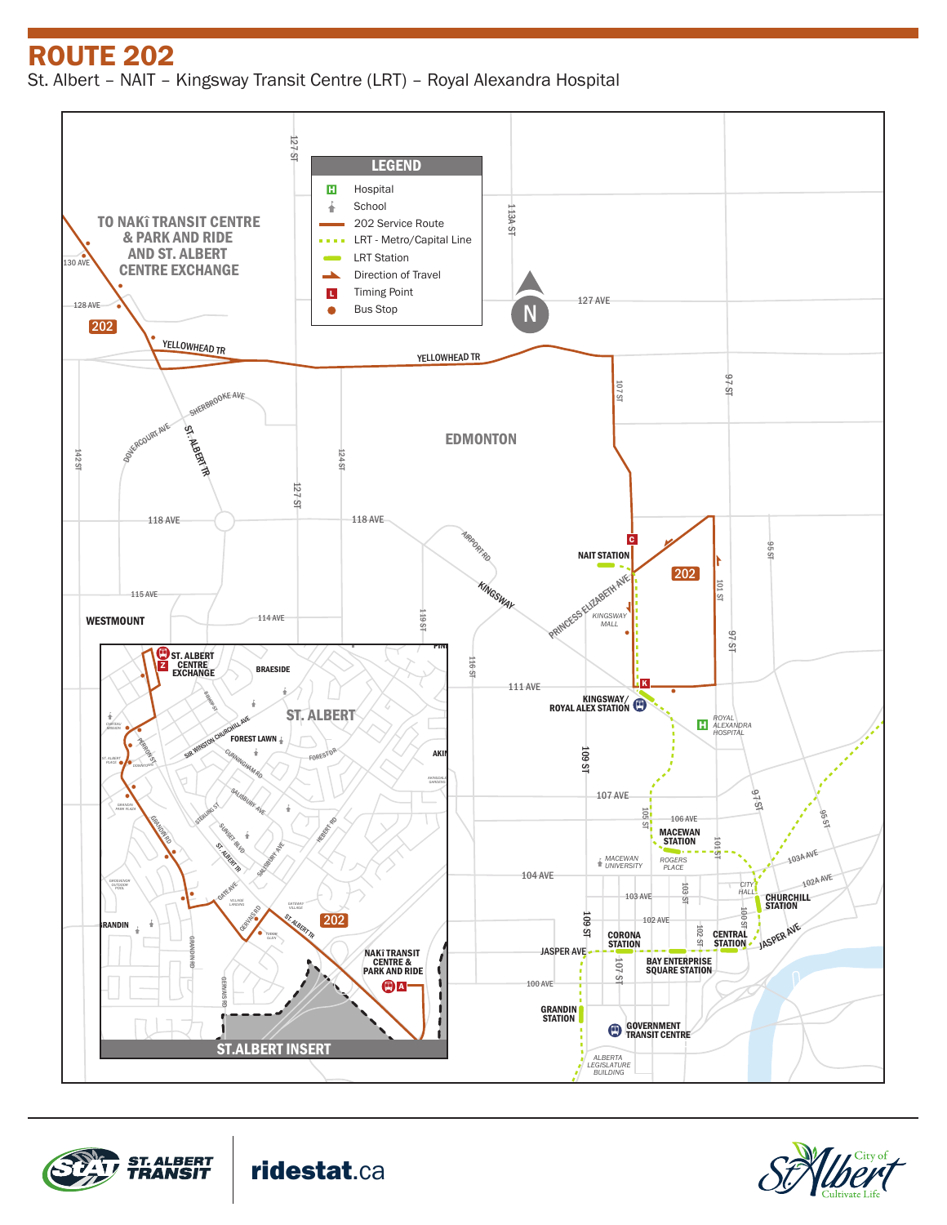ROUTE 202 St. Albert – NAIT – Kingsway Transit Centre (LRT) – Royal Alexandra Hospital